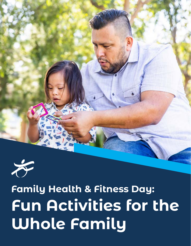



# **Family Health & Fitness Day: Fun Activities for the Whole Family**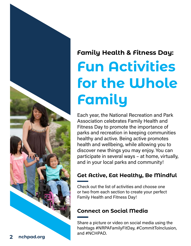

# **Family Health & Fitness Day: Fun Activities for the Whole Family**

Each year, the National Recreation and Park Association celebrates Family Health and Fitness Day to promote the importance of parks and recreation in keeping communities healthy and active. Being active promotes health and wellbeing, while allowing you to discover new things you may enjoy. You can participate in several ways – at home, virtually, and in your local parks and community!

#### **Get Active, Eat Healthy, Be Mindful**

Check out the list of activities and choose one or two from each section to create your perfect Family Health and Fitness Day!

#### **Connect on Social Media**

Share a picture or video on social media using the hashtags #NRPAFamilyFitDay, #CommitToInclusion, and #NCHPAD.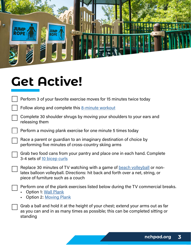

## **Get Active!**

standing

| Perform 3 of your favorite exercise moves for 15 minutes twice today                                                                                                                                      |
|-----------------------------------------------------------------------------------------------------------------------------------------------------------------------------------------------------------|
| Follow along and complete this 8-minute workout                                                                                                                                                           |
| Complete 30 shoulder shrugs by moving your shoulders to your ears and<br>releasing them                                                                                                                   |
| Perform a moving plank exercise for one minute 5 times today                                                                                                                                              |
| Race a parent or guardian to an imaginary destination of choice by<br>performing five minutes of cross-country skiing arms                                                                                |
| Grab two food cans from your pantry and place one in each hand. Complete<br>3-4 sets of 10 bicep curls                                                                                                    |
| Replace 30 minutes of TV watching with a game of <b>beach volleyball</b> or non-<br>latex balloon volleyball. Directions: hit back and forth over a net, string, or<br>piece of furniture such as a couch |
| Perform one of the plank exercises listed below during the TV commercial breaks.<br><b>Option 1: Wall Plank</b><br><b>Option 2: Moving Plank</b>                                                          |
| Grab a ball and hold it at the height of your chest; extend your arms out as far<br>as you can and in as many times as possible; this can be completed sitting or                                         |

**nchpad.org 3**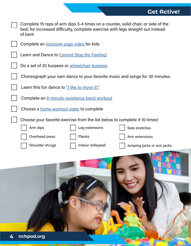| Complete 15 reps of arm dips 3-4 times on a counter, solid chair, or side of the<br>bed; for increased difficulty, complete exercise with legs straight out instead<br>of bent |
|--------------------------------------------------------------------------------------------------------------------------------------------------------------------------------|
| Complete an <i>inclusive yoga video</i> for kids                                                                                                                               |
| Learn and Dance to Cannot Stop the Feeling!                                                                                                                                    |
| Do a set of 20 burpees or wheelchair burpees                                                                                                                                   |
| Choreograph your own dance to your favorite music and songs for 30 minutes.                                                                                                    |
| Learn this fun dance to "I like to move it!"                                                                                                                                   |
| Complete an 8-minute resistance band workout                                                                                                                                   |
| Choose a <b>home workout video</b> to complete                                                                                                                                 |
| Choose your favorite exercise from the list below to complete it 10 times!                                                                                                     |
| Arm dips<br>Leg extensions<br>Side stretches                                                                                                                                   |
| Overhead press<br>Planks<br>Arm extensions                                                                                                                                     |
| Shoulder shrugs<br>Indoor Volleyball<br>Jumping jacks or arm jacks                                                                                                             |
|                                                                                                                                                                                |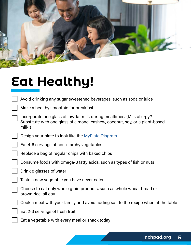

## **Eat Healthy!**

- Avoid drinking any sugar sweetened beverages, such as soda or juice
- Make a healthy smoothie for breakfast
- Incorporate one glass of low-fat milk during mealtimes. (Milk allergy? Substitute with one glass of almond, cashew, coconut, soy, or a plant-based milk!)
- Design your plate to look like the [MyPlate Diagram](https://www.myplate.gov/)
- Eat 4-6 servings of non-starchy vegetables
- Replace a bag of regular chips with baked chips
- Consume foods with omega-3 fatty acids, such as types of fish or nuts
	- Drink 8 glasses of water
	- Taste a new vegetable you have never eaten
	- Choose to eat only whole grain products, such as whole wheat bread or brown rice, all day
	- Cook a meal with your family and avoid adding salt to the recipe when at the table
		- Eat 2-3 servings of fresh fruit
		- Eat a vegetable with every meal or snack today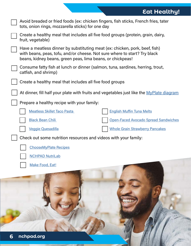### **Eat Healthy!**

| Avoid breaded or fried foods (ex: chicken fingers, fish sticks, French fries, tater<br>tots, onion rings, mozzarella sticks) for one day                                                                               |                                                                                          |
|------------------------------------------------------------------------------------------------------------------------------------------------------------------------------------------------------------------------|------------------------------------------------------------------------------------------|
| Create a healthy meal that includes all five food groups (protein, grain, dairy,<br>fruit, vegetable)                                                                                                                  |                                                                                          |
| Have a meatless dinner by substituting meat (ex: chicken, pork, beef, fish)<br>with beans, peas, tofu, and/or cheese. Not sure where to start? Try black<br>beans, kidney beans, green peas, lima beans, or chickpeas! |                                                                                          |
| Consume fatty fish at lunch or dinner (salmon, tuna, sardines, herring, trout,<br>catfish, and shrimp)                                                                                                                 |                                                                                          |
| Create a healthy meal that includes all five food groups                                                                                                                                                               |                                                                                          |
|                                                                                                                                                                                                                        | At dinner, fill half your plate with fruits and vegetables just like the MyPlate diagram |
| Prepare a healthy recipe with your family:                                                                                                                                                                             |                                                                                          |
| <b>Meatless Skillet Taco Pasta</b>                                                                                                                                                                                     | <b>English Muffin Tuna Melts</b>                                                         |
| <b>Black Bean Chili</b>                                                                                                                                                                                                | <b>Open-Faced Avocado Spread Sandwiches</b>                                              |
| <b>Veggie Quesadilla</b>                                                                                                                                                                                               | <b>Whole Grain Strawberry Pancakes</b>                                                   |
| Check out some nutrition resources and videos with your family:                                                                                                                                                        |                                                                                          |
| <b>ChooseMyPlate Recipes</b>                                                                                                                                                                                           |                                                                                          |
| <b>NCHPAD NutriLab</b>                                                                                                                                                                                                 |                                                                                          |
| Make Food, Eat!                                                                                                                                                                                                        |                                                                                          |
|                                                                                                                                                                                                                        |                                                                                          |
| nchpad.org<br>6                                                                                                                                                                                                        |                                                                                          |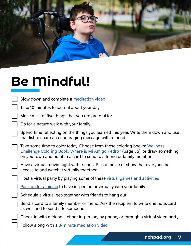

# **Be Mindful!**

| Slow down and complete a <b>meditation video</b> |  |  |  |
|--------------------------------------------------|--|--|--|
|--------------------------------------------------|--|--|--|

| Take 10 minutes to journal about your day |  |  |
|-------------------------------------------|--|--|
|-------------------------------------------|--|--|

| Make a list of five things that you are grateful for |  |  |  |
|------------------------------------------------------|--|--|--|
|------------------------------------------------------|--|--|--|

Go for a nature walk with your family

Spend time reflecting on the things you learned this year. Write them down and use that list to share an encouraging message with a friend

| Take some time to color today. Choose from these coloring books: Wellness      |
|--------------------------------------------------------------------------------|
| Challenge Coloring Book, Where is Mi Amigo Pedro? (page 35), or draw something |
| on your own and put it in a card to send to a friend or family member          |

| Have a virtual movie night with friends. Pick a movie or show that everyone has |
|---------------------------------------------------------------------------------|
| access to and watch it virtually together                                       |

Host a virtual party by playing some of these [virtual games and activities](https://www.pixiebear.com/games-and-activities-for-a-virtual-kids-party/?utm_medium=social&utm_source=pinterest&utm_campaign=tailwind_tribes&utm_content=tribes&utm_term=1050940100_48360356_708238)

[Pack up for a picnic](https://www.nchpad.org/1503/6458/Packing~for~a~Picnic) to have in-person or virtually with your family

Schedule a virtual get-together with friends to hang out

Send a card to a family member or friend. Ask the recipient to write one note/card as well and to send it to someone

Check-in with a friend – either in-person, by phone, or through a virtual video party

Follow along with a [3-minute mediation video](https://www.youtube.com/watch?v=mE3NHiPUeRw&list=PLwMObYmlSHaMshWAhmArdbfqZzlIWaUec)